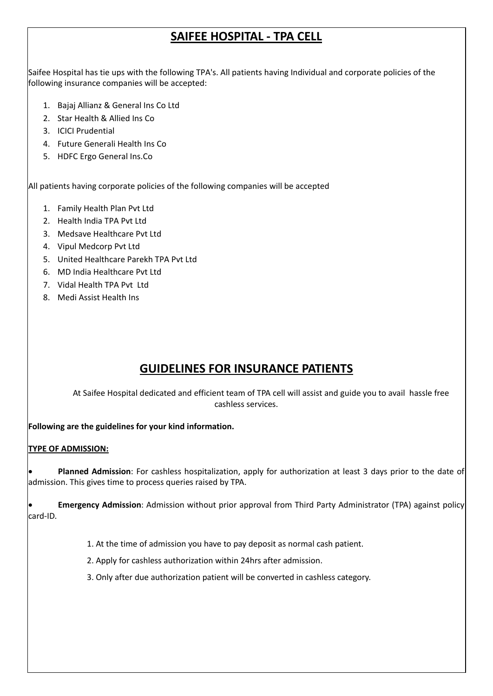# **SAIFEE HOSPITAL ‐ TPA CELL**

Saifee Hospital has tie ups with the following TPA's. All patients having Individual and corporate policies of the following insurance companies will be accepted:

- 1. Bajaj Allianz & General Ins Co Ltd
- 2. Star Health & Allied Ins Co
- 3. ICICI Prudential
- 4. Future Generali Health Ins Co
- 5. HDFC Ergo General Ins.Co

All patients having corporate policies of the following companies will be accepted

- 1. Family Health Plan Pvt Ltd
- 2. Health India TPA Pvt Ltd
- 3. Medsave Healthcare Pvt Ltd
- 4. Vipul Medcorp Pvt Ltd
- 5. United Healthcare Parekh TPA Pvt Ltd
- 6. MD India Healthcare Pvt Ltd
- 7. Vidal Health TPA Pvt Ltd
- 8. Medi Assist Health Ins

# **GUIDELINES FOR INSURANCE PATIENTS**

At Saifee Hospital dedicated and efficient team of TPA cell will assist and guide you to avail hassle free cashless services.

**Following are the guidelines for your kind information.**

## **TYPE OF ADMISSION:**

 **Planned Admission**: For cashless hospitalization, apply for authorization at least 3 days prior to the date of admission. This gives time to process queries raised by TPA.

 **Emergency Admission**: Admission without prior approval from Third Party Administrator (TPA) against policy card‐ID.

- 1. At the time of admission you have to pay deposit as normal cash patient.
- 2. Apply for cashless authorization within 24hrs after admission.
- 3. Only after due authorization patient will be converted in cashless category.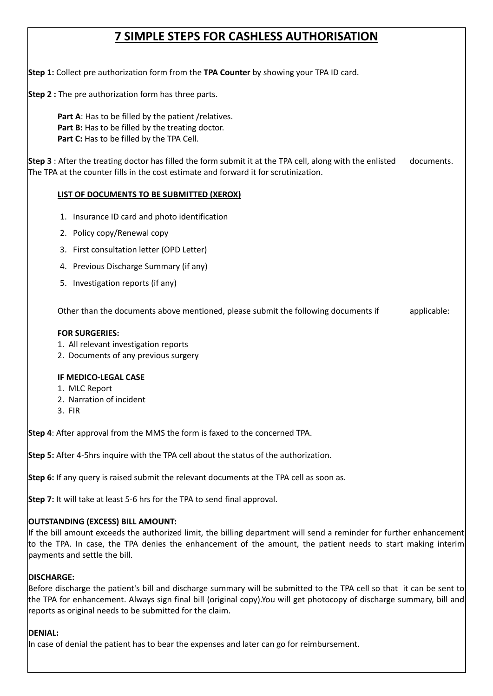## **7 SIMPLE STEPS FOR CASHLESS AUTHORISATION**

**Step 1:** Collect pre authorization form from the **TPA Counter** by showing your TPA ID card.

**Step 2 :** The pre authorization form has three parts.

**Part A**: Has to be filled by the patient /relatives. **Part B:** Has to be filled by the treating doctor. **Part C:** Has to be filled by the TPA Cell.

**Step 3** : After the treating doctor has filled the form submit it at the TPA cell, along with the enlisted documents. The TPA at the counter fills in the cost estimate and forward it for scrutinization.

## **LIST OF DOCUMENTS TO BE SUBMITTED (XEROX)**

- 1. Insurance ID card and photo identification
- 2. Policy copy/Renewal copy
- 3. First consultation letter (OPD Letter)
- 4. Previous Discharge Summary (if any)
- 5. Investigation reports (if any)

Other than the documents above mentioned, please submit the following documents if applicable:

#### **FOR SURGERIES:**

- 1. All relevant investigation reports
- 2. Documents of any previous surgery

#### **IF MEDICO‐LEGAL CASE**

- 1. MLC Report
- 2. Narration of incident
- 3. FIR

**Step 4**: After approval from the MMS the form is faxed to the concerned TPA.

**Step 5:** After 4‐5hrs inquire with the TPA cell about the status of the authorization.

**Step 6:** If any query is raised submit the relevant documents at the TPA cell as soon as.

**Step 7:** It will take at least 5‐6 hrs for the TPA to send final approval.

## **OUTSTANDING (EXCESS) BILL AMOUNT:**

If the bill amount exceeds the authorized limit, the billing department will send a reminder for further enhancement to the TPA. In case, the TPA denies the enhancement of the amount, the patient needs to start making interim payments and settle the bill.

## **DISCHARGE:**

Before discharge the patient's bill and discharge summary will be submitted to the TPA cell so that it can be sent to the TPA for enhancement. Always sign final bill (original copy).You will get photocopy of discharge summary, bill and reports as original needs to be submitted for the claim.

## **DENIAL:**

In case of denial the patient has to bear the expenses and later can go for reimbursement.